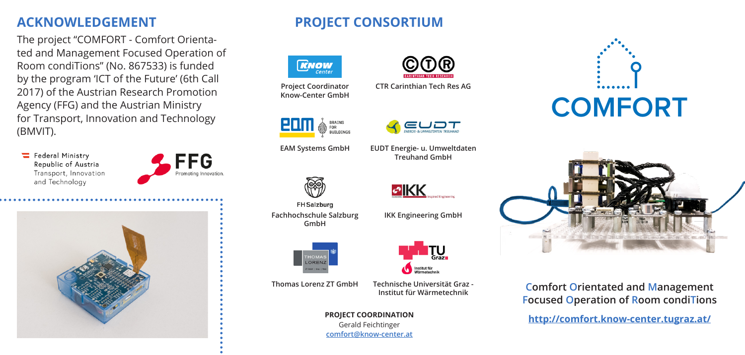# **ACKNOWLEDGEMENT**

The project "COMFORT - Comfort Orientated and Management Focused Operation of Room condiTions" (No. 867533) is funded by the program 'ICT of the Future' (6th Call 2017) of the Austrian Research Promotion Agency (FFG) and the Austrian Ministry for Transport, Innovation and Technology (BMVIT).

E Federal Ministry Republic of Austria Transport, Innovation and Technology





# **PROJECT CONSORTIUM**



**Project Coordinator Know-Center GmbH**





**FH** Salzburg **Fachhochschule Salzburg GmbH**



Institut für Wärmetechnik **Thomas Lorenz ZT GmbH Technische Universität Graz - Institut für Wärmetechnik**

> **PROJECT COORDINATION** Gerald Feichtinger

**comfort@know-center.at**



**CTR Carinthian Tech Res AG**



**EAM Systems GmbH EUDT Energie- u. Umweltdaten Treuhand GmbH**

**IKK Engineering GmbH**

**EIKK** 





**Comfort Orientated and Management Focused Operation of Room condiTions**

**http://comfort.know-center.tugraz.at/**